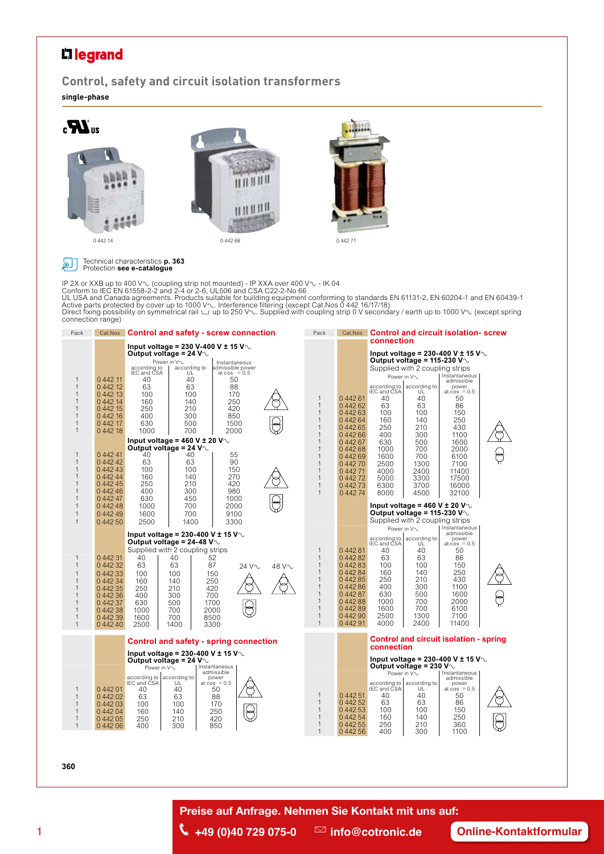## L<sub>legrand</sub>

**Control, safety and circuit isolation transformers single-phase**



#### Technical characteristics **p. 363** Protection **see e-catalogue**ا ها

IP 2X or XXB up to 400 V∿. (coupling strip not mounted) - IP XXA over 400 V∿ - IK 04<br>Conform to IEC EN 61558-2-2 and 2-4 or 2-6, UL506 and CSA C22-2-No 66<br>UL USA and Canada agreements. Products suitable for building equip Direct fixing possibility on symmetrical rail ∟r up to 250 V∿. Supplied with coupling strip 0 V secondary / earth up to 1000 V∿ (except spring<br>connection range)



#### **360**

**Preise auf Anfrage. Nehmen Sie Kontakt mit uns auf:**

<sup>1</sup> J**+49 (0)40 729 075-0** g**info@cotronic.de [Online-Kontaktformular](https://www.cotronic.de/nehmen-sie-kontakt-mit-uns-auf/)**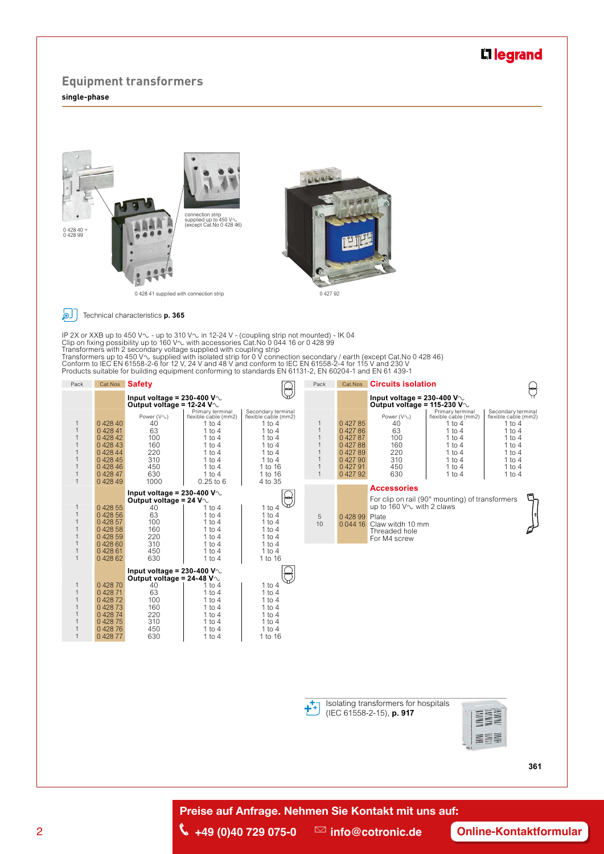### L<sub>legrand</sub>

#### **Equipment transformers single-phase**





Technical characteristics **p. 365** 

IP 2X or XXB up to 450 V∿ - up to 310 V∿ in 12-24 V - (coupling strip not mounted) - IK 04<br>Clip on fixing possibility up to 160 V∿ with accessories Cat.No 0 044 16 or 0 428 99<br>Transformers with 2 secondary voltage supplie





**THE REAL** EEE

**361**

**Preise auf Anfrage. Nehmen Sie Kontakt mit uns auf:**